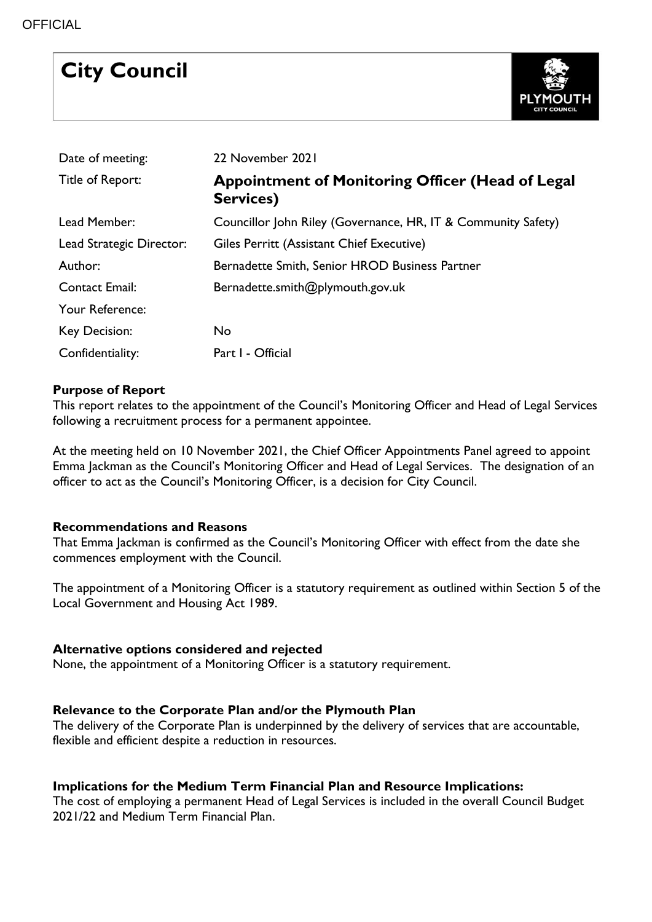# **City Council**



| Date of meeting:         | 22 November 2021                                              |
|--------------------------|---------------------------------------------------------------|
| Title of Report:         | Appointment of Monitoring Officer (Head of Legal<br>Services) |
| Lead Member:             | Councillor John Riley (Governance, HR, IT & Community Safety) |
| Lead Strategic Director: | Giles Perritt (Assistant Chief Executive)                     |
| Author:                  | Bernadette Smith, Senior HROD Business Partner                |
| Contact Email:           | Bernadette.smith@plymouth.gov.uk                              |
| Your Reference:          |                                                               |
| <b>Key Decision:</b>     | No                                                            |
| Confidentiality:         | Part I - Official                                             |

## **Purpose of Report**

This report relates to the appointment of the Council's Monitoring Officer and Head of Legal Services following a recruitment process for a permanent appointee.

At the meeting held on 10 November 2021, the Chief Officer Appointments Panel agreed to appoint Emma Jackman as the Council's Monitoring Officer and Head of Legal Services. The designation of an officer to act as the Council's Monitoring Officer, is a decision for City Council.

## **Recommendations and Reasons**

That Emma Jackman is confirmed as the Council's Monitoring Officer with effect from the date she commences employment with the Council.

The appointment of a Monitoring Officer is a statutory requirement as outlined within Section 5 of the Local Government and Housing Act 1989.

## **Alternative options considered and rejected**

None, the appointment of a Monitoring Officer is a statutory requirement.

## **Relevance to the Corporate Plan and/or the Plymouth Plan**

The delivery of the Corporate Plan is underpinned by the delivery of services that are accountable, flexible and efficient despite a reduction in resources.

# **Implications for the Medium Term Financial Plan and Resource Implications:**

The cost of employing a permanent Head of Legal Services is included in the overall Council Budget 2021/22 and Medium Term Financial Plan.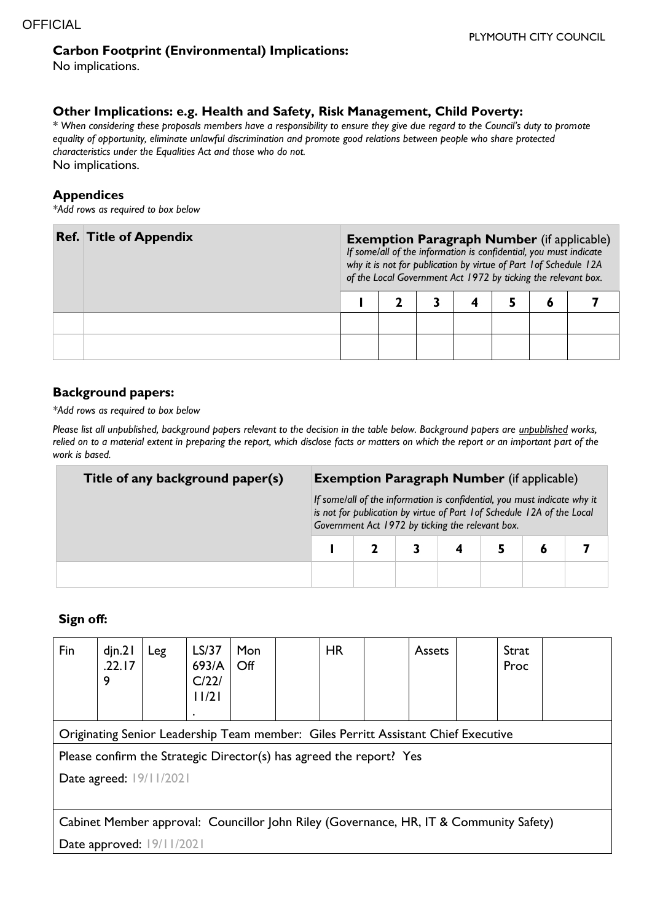#### **Carbon Footprint (Environmental) Implications:**

No implications.

#### **Other Implications: e.g. Health and Safety, Risk Management, Child Poverty:**

*\* When considering these proposals members have a responsibility to ensure they give due regard to the Council's duty to promote equality of opportunity, eliminate unlawful discrimination and promote good relations between people who share protected characteristics under the Equalities Act and those who do not.* No implications.

#### **Appendices**

*\*Add rows as required to box below*

| <b>Ref. Title of Appendix</b> | <b>Exemption Paragraph Number</b> (if applicable)<br>If some/all of the information is confidential, you must indicate<br>why it is not for publication by virtue of Part 1 of Schedule 12A<br>of the Local Government Act 1972 by ticking the relevant box. |  |  |  |  |   |  |  |  |
|-------------------------------|--------------------------------------------------------------------------------------------------------------------------------------------------------------------------------------------------------------------------------------------------------------|--|--|--|--|---|--|--|--|
|                               |                                                                                                                                                                                                                                                              |  |  |  |  | O |  |  |  |
|                               |                                                                                                                                                                                                                                                              |  |  |  |  |   |  |  |  |
|                               |                                                                                                                                                                                                                                                              |  |  |  |  |   |  |  |  |

#### **Background papers:**

*\*Add rows as required to box below*

*Please list all unpublished, background papers relevant to the decision in the table below. Background papers are unpublished works, relied on to a material extent in preparing the report, which disclose facts or matters on which the report or an important part of the work is based.*

| Title of any background paper(s) | <b>Exemption Paragraph Number</b> (if applicable)                                                                                                                                                       |  |  |                         |  |  |  |  |  |
|----------------------------------|---------------------------------------------------------------------------------------------------------------------------------------------------------------------------------------------------------|--|--|-------------------------|--|--|--|--|--|
|                                  | If some/all of the information is confidential, you must indicate why it<br>is not for publication by virtue of Part 1 of Schedule 12A of the Local<br>Government Act 1972 by ticking the relevant box. |  |  |                         |  |  |  |  |  |
|                                  |                                                                                                                                                                                                         |  |  | $\overline{\mathbf{4}}$ |  |  |  |  |  |
|                                  |                                                                                                                                                                                                         |  |  |                         |  |  |  |  |  |

# **Sign off:**

| Fin                                                                                    | $d$ jn.2 $l$<br>.22.17<br>9 | Leg | LS/37<br>693/A<br>C/22/<br>11/21 | Mon<br>Off |  | <b>HR</b> |  | Assets |  | Strat<br>Proc |  |
|----------------------------------------------------------------------------------------|-----------------------------|-----|----------------------------------|------------|--|-----------|--|--------|--|---------------|--|
| Originating Senior Leadership Team member: Giles Perritt Assistant Chief Executive     |                             |     |                                  |            |  |           |  |        |  |               |  |
| Please confirm the Strategic Director(s) has agreed the report? Yes                    |                             |     |                                  |            |  |           |  |        |  |               |  |
| Date agreed: 19/11/2021                                                                |                             |     |                                  |            |  |           |  |        |  |               |  |
|                                                                                        |                             |     |                                  |            |  |           |  |        |  |               |  |
| Cabinet Member approval: Councillor John Riley (Governance, HR, IT & Community Safety) |                             |     |                                  |            |  |           |  |        |  |               |  |
| Date approved: 19/11/2021                                                              |                             |     |                                  |            |  |           |  |        |  |               |  |